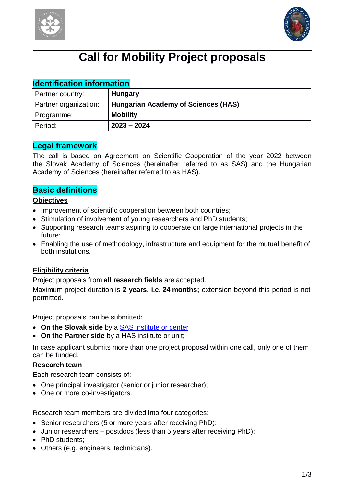



# **Call for Mobility Project proposals**

| <b>Identification information</b> |                                            |  |  |
|-----------------------------------|--------------------------------------------|--|--|
| Partner country:                  | <b>Hungary</b>                             |  |  |
| Partner organization:             | <b>Hungarian Academy of Sciences (HAS)</b> |  |  |
| Programme:                        | <b>Mobility</b>                            |  |  |
| Period:                           | $2023 - 2024$                              |  |  |

## **Legal framework**

The call is based on Agreement on Scientific Cooperation of the year 2022 between the Slovak Academy of Sciences (hereinafter referred to as SAS) and the Hungarian Academy of Sciences (hereinafter referred to as HAS).

### **Basic definitions**

#### **Objectives**

- Improvement of scientific cooperation between both countries;
- Stimulation of involvement of young researchers and PhD students:
- Supporting research teams aspiring to cooperate on large international projects in the future;
- Enabling the use of methodology, infrastructure and equipment for the mutual benefit of both institutions.

#### **Eligibility criteria**

Project proposals from **all research fields** are accepted.

Maximum project duration is **2 years, i.e. 24 months;** extension beyond this period is not permitted.

Project proposals can be submitted:

- **On the Slovak side** by a SAS [institute](https://www.sav.sk/?lang=en&doc=home-ins&odd=1) or center
- **On the Partner side** by a HAS institute or unit;

In case applicant submits more than one project proposal within one call, only one of them can be funded.

#### **Research team**

Each research team consists of:

- One principal investigator (senior or junior researcher);
- One or more co-investigators.

Research team members are divided into four categories:

- Senior researchers (5 or more vears after receiving PhD):
- Junior researchers postdocs (less than 5 years after receiving PhD);
- PhD students:
- Others (e.g. engineers, technicians).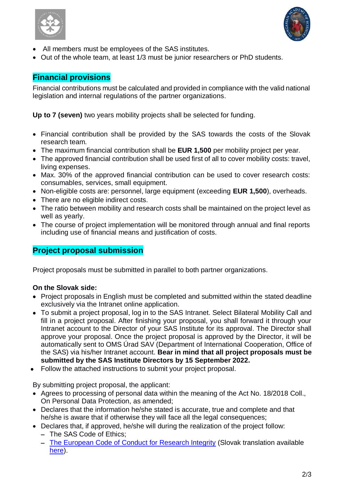



- All members must be employees of the SAS institutes.
- Out of the whole team, at least 1/3 must be junior researchers or PhD students.

## **Financial provisions**

Financial contributions must be calculated and provided in compliance with the valid national legislation and internal regulations of the partner organizations.

**Up to 7 (seven)** two years mobility projects shall be selected for funding.

- Financial contribution shall be provided by the SAS towards the costs of the Slovak research team.
- The maximum financial contribution shall be **EUR 1,500** per mobility project per year.
- The approved financial contribution shall be used first of all to cover mobility costs: travel, living expenses.
- Max. 30% of the approved financial contribution can be used to cover research costs: consumables, services, small equipment.
- Non-eligible costs are: personnel, large equipment (exceeding **EUR 1,500**), overheads.
- There are no eligible indirect costs.
- The ratio between mobility and research costs shall be maintained on the project level as well as yearly.
- The course of project implementation will be monitored through annual and final reports including use of financial means and justification of costs.

## **Project proposal submission**

Project proposals must be submitted in parallel to both partner organizations.

#### **On the Slovak side:**

- Project proposals in English must be completed and submitted within the stated deadline exclusively via the Intranet online application.
- To submit a project proposal, log in to the SAS Intranet. Select Bilateral Mobility Call and fill in a project proposal. After finishing your proposal, you shall forward it through your Intranet account to the Director of your SAS Institute for its approval. The Director shall approve your proposal. Once the project proposal is approved by the Director, it will be automatically sent to OMS Úrad SAV (Department of International Cooperation, Office of the SAS) via his/her Intranet account. **Bear in mind that all project proposals must be submitted by the SAS Institute Directors by 15 September 2022.**
- Follow the attached instructions to submit your project proposal.

By submitting project proposal, the applicant:

- Agrees to processing of personal data within the meaning of the Act No. 18/2018 Coll., On Personal Data Protection, as amended;
- Declares that the information he/she stated is accurate, true and complete and that he/she is aware that if otherwise they will face all the legal consequences;
- Declares that, if approved, he/she will during the realization of the project follow: - The SAS Code of Ethics:
	- [The European Code of Conduct for Research Integrity](http://www.allea.org/wp-content/uploads/2017/05/ALLEA-European-Code-of-Conduct-for-Research-Integrity-2017.pdf) (Slovak translation available [here\)](https://www.allea.org/wp-content/uploads/2018/11/ALLEA-European-Code-of-Conduct-for-Research-Integrity-2018-Slovak_dig.pdf).